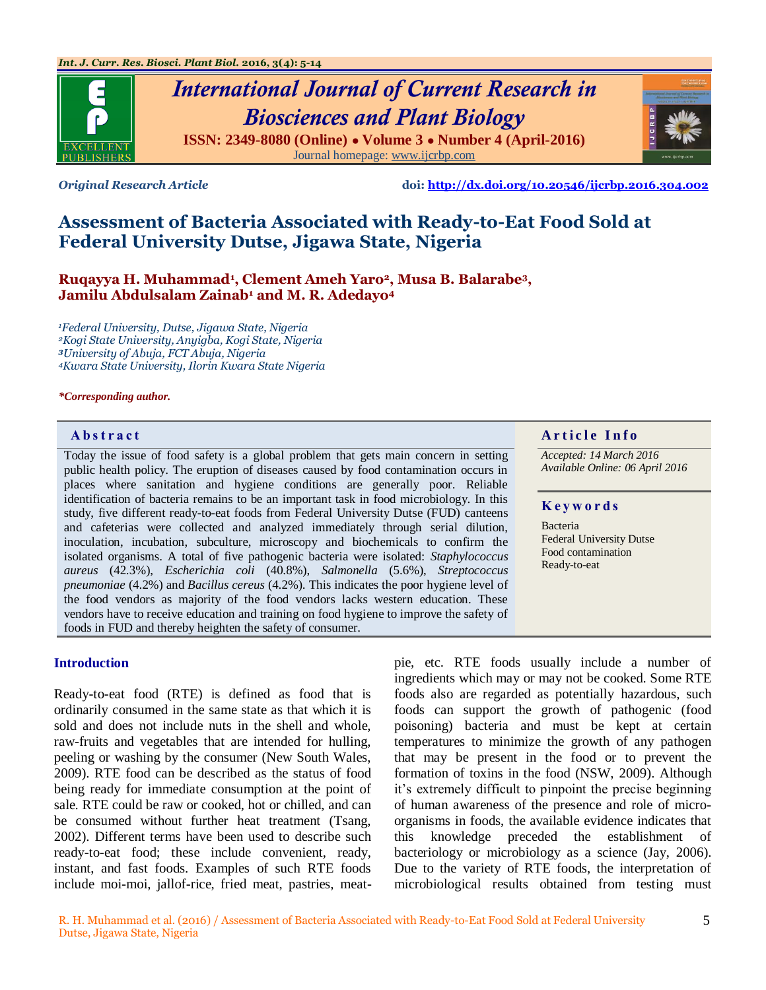

# *International Journal of Current Research in Biosciences and Plant Biology* **ISSN: 2349-8080 (Online) ● Volume 3 ● Number 4 (April-2016)** Journal homepage[: www.ijcrbp.com](http://www.ijcrbp.com/)



*Original Research Article* **doi:<http://dx.doi.org/10.20546/ijcrbp.2016.304.002>**

# **Assessment of Bacteria Associated with Ready-to-Eat Food Sold at Federal University Dutse, Jigawa State, Nigeria**

**Ruqayya H. Muhammad<sup>1</sup> , Clement Ameh Yaro2, Musa B. Balarabe3, Jamilu Abdulsalam Zainab<sup>1</sup> and M. R. Adedayo<sup>4</sup>**

*Federal University, Dutse, Jigawa State, Nigeria Kogi State University, Anyigba, Kogi State, Nigeria University of Abuja, FCT Abuja, Nigeria Kwara State University, Ilorin Kwara State Nigeria*

#### *\*Corresponding author.*

Today the issue of food safety is a global problem that gets main concern in setting public health policy. The eruption of diseases caused by food contamination occurs in places where sanitation and hygiene conditions are generally poor. Reliable identification of bacteria remains to be an important task in food microbiology. In this study, five different ready-to-eat foods from Federal University Dutse (FUD) canteens and cafeterias were collected and analyzed immediately through serial dilution, inoculation, incubation, subculture, microscopy and biochemicals to confirm the isolated organisms. A total of five pathogenic bacteria were isolated: *Staphylococcus aureus* (42.3%), *Escherichia coli* (40.8%), *Salmonella* (5.6%), *Streptococcus pneumoniae* (4.2%) and *Bacillus cereus* (4.2%). This indicates the poor hygiene level of the food vendors as majority of the food vendors lacks western education. These vendors have to receive education and training on food hygiene to improve the safety of foods in FUD and thereby heighten the safety of consumer.

# **Introduction**

Ready-to-eat food (RTE) is defined as food that is ordinarily consumed in the same state as that which it is sold and does not include nuts in the shell and whole, raw-fruits and vegetables that are intended for hulling, peeling or washing by the consumer (New South Wales, 2009). RTE food can be described as the status of food being ready for immediate consumption at the point of sale. RTE could be raw or cooked, hot or chilled, and can be consumed without further heat treatment (Tsang, 2002). Different terms have been used to describe such ready-to-eat food; these include convenient, ready, instant, and fast foods. Examples of such RTE foods include moi-moi, jallof-rice, fried meat, pastries, meat-

#### **Abstract A A** raticle **Info**

*Accepted: 14 March 2016 Available Online: 06 April 2016*

#### **K e y w o r d s**

Bacteria Federal University Dutse Food contamination Ready-to-eat

pie, etc. RTE foods usually include a number of ingredients which may or may not be cooked. Some RTE foods also are regarded as potentially hazardous, such foods can support the growth of pathogenic (food poisoning) bacteria and must be kept at certain temperatures to minimize the growth of any pathogen that may be present in the food or to prevent the formation of toxins in the food (NSW, 2009). Although it's extremely difficult to pinpoint the precise beginning of human awareness of the presence and role of microorganisms in foods, the available evidence indicates that this knowledge preceded the establishment of bacteriology or microbiology as a science (Jay, 2006). Due to the variety of RTE foods, the interpretation of microbiological results obtained from testing must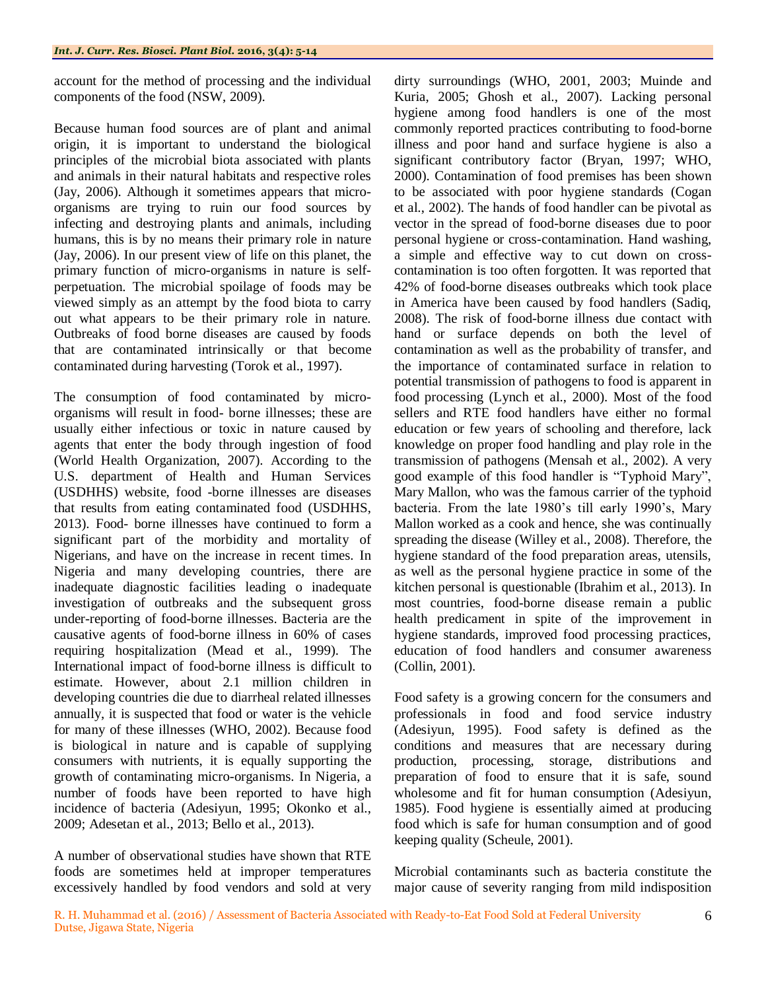account for the method of processing and the individual components of the food (NSW, 2009).

Because human food sources are of plant and animal origin, it is important to understand the biological principles of the microbial biota associated with plants and animals in their natural habitats and respective roles (Jay, 2006). Although it sometimes appears that microorganisms are trying to ruin our food sources by infecting and destroying plants and animals, including humans, this is by no means their primary role in nature (Jay, 2006). In our present view of life on this planet, the primary function of micro-organisms in nature is selfperpetuation. The microbial spoilage of foods may be viewed simply as an attempt by the food biota to carry out what appears to be their primary role in nature. Outbreaks of food borne diseases are caused by foods that are contaminated intrinsically or that become contaminated during harvesting (Torok et al., 1997).

The consumption of food contaminated by microorganisms will result in food- borne illnesses; these are usually either infectious or toxic in nature caused by agents that enter the body through ingestion of food (World Health Organization, 2007). According to the U.S. department of Health and Human Services (USDHHS) website, food -borne illnesses are diseases that results from eating contaminated food (USDHHS, 2013). Food- borne illnesses have continued to form a significant part of the morbidity and mortality of Nigerians, and have on the increase in recent times. In Nigeria and many developing countries, there are inadequate diagnostic facilities leading o inadequate investigation of outbreaks and the subsequent gross under-reporting of food-borne illnesses. Bacteria are the causative agents of food-borne illness in 60% of cases requiring hospitalization (Mead et al., 1999). The International impact of food-borne illness is difficult to estimate. However, about 2.1 million children in developing countries die due to diarrheal related illnesses annually, it is suspected that food or water is the vehicle for many of these illnesses (WHO, 2002). Because food is biological in nature and is capable of supplying consumers with nutrients, it is equally supporting the growth of contaminating micro-organisms. In Nigeria, a number of foods have been reported to have high incidence of bacteria (Adesiyun, 1995; Okonko et al., 2009; Adesetan et al., 2013; Bello et al., 2013).

A number of observational studies have shown that RTE foods are sometimes held at improper temperatures excessively handled by food vendors and sold at very dirty surroundings (WHO, 2001, 2003; Muinde and Kuria, 2005; Ghosh et al., 2007). Lacking personal hygiene among food handlers is one of the most commonly reported practices contributing to food-borne illness and poor hand and surface hygiene is also a significant contributory factor (Bryan, 1997; WHO, 2000). Contamination of food premises has been shown to be associated with poor hygiene standards (Cogan et al., 2002). The hands of food handler can be pivotal as vector in the spread of food-borne diseases due to poor personal hygiene or cross-contamination. Hand washing, a simple and effective way to cut down on crosscontamination is too often forgotten. It was reported that 42% of food-borne diseases outbreaks which took place in America have been caused by food handlers (Sadiq, 2008). The risk of food-borne illness due contact with hand or surface depends on both the level of contamination as well as the probability of transfer, and the importance of contaminated surface in relation to potential transmission of pathogens to food is apparent in food processing (Lynch et al., 2000). Most of the food sellers and RTE food handlers have either no formal education or few years of schooling and therefore, lack knowledge on proper food handling and play role in the transmission of pathogens (Mensah et al., 2002). A very good example of this food handler is "Typhoid Mary", Mary Mallon, who was the famous carrier of the typhoid bacteria. From the late 1980's till early 1990's, Mary Mallon worked as a cook and hence, she was continually spreading the disease (Willey et al., 2008). Therefore, the hygiene standard of the food preparation areas, utensils, as well as the personal hygiene practice in some of the kitchen personal is questionable (Ibrahim et al., 2013). In most countries, food-borne disease remain a public health predicament in spite of the improvement in hygiene standards, improved food processing practices, education of food handlers and consumer awareness (Collin, 2001).

Food safety is a growing concern for the consumers and professionals in food and food service industry (Adesiyun, 1995). Food safety is defined as the conditions and measures that are necessary during production, processing, storage, distributions and preparation of food to ensure that it is safe, sound wholesome and fit for human consumption (Adesiyun, 1985). Food hygiene is essentially aimed at producing food which is safe for human consumption and of good keeping quality (Scheule, 2001).

Microbial contaminants such as bacteria constitute the major cause of severity ranging from mild indisposition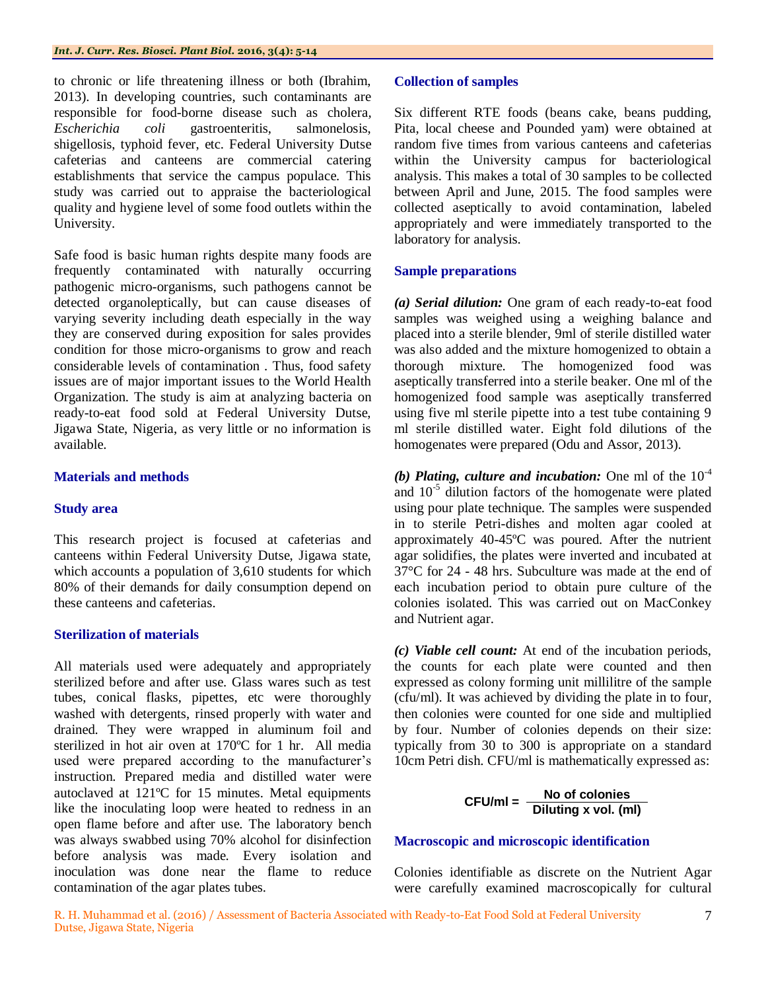to chronic or life threatening illness or both (Ibrahim, 2013). In developing countries, such contaminants are responsible for food-borne disease such as cholera*, Escherichia coli* gastroenteritis, salmonelosis, shigellosis, typhoid fever, etc. Federal University Dutse cafeterias and canteens are commercial catering establishments that service the campus populace. This study was carried out to appraise the bacteriological quality and hygiene level of some food outlets within the University.

Safe food is basic human rights despite many foods are frequently contaminated with naturally occurring pathogenic micro-organisms, such pathogens cannot be detected organoleptically, but can cause diseases of varying severity including death especially in the way they are conserved during exposition for sales provides condition for those micro-organisms to grow and reach considerable levels of contamination . Thus, food safety issues are of major important issues to the World Health Organization. The study is aim at analyzing bacteria on ready-to-eat food sold at Federal University Dutse, Jigawa State, Nigeria, as very little or no information is available.

# **Materials and methods**

#### **Study area**

This research project is focused at cafeterias and canteens within Federal University Dutse, Jigawa state, which accounts a population of 3,610 students for which 80% of their demands for daily consumption depend on these canteens and cafeterias.

# **Sterilization of materials**

All materials used were adequately and appropriately sterilized before and after use. Glass wares such as test tubes, conical flasks, pipettes, etc were thoroughly washed with detergents, rinsed properly with water and drained. They were wrapped in aluminum foil and sterilized in hot air oven at 170ºC for 1 hr. All media used were prepared according to the manufacturer's instruction. Prepared media and distilled water were autoclaved at 121ºC for 15 minutes. Metal equipments like the inoculating loop were heated to redness in an open flame before and after use. The laboratory bench was always swabbed using 70% alcohol for disinfection before analysis was made. Every isolation and inoculation was done near the flame to reduce contamination of the agar plates tubes.

#### **Collection of samples**

Six different RTE foods (beans cake, beans pudding, Pita, local cheese and Pounded yam) were obtained at random five times from various canteens and cafeterias within the University campus for bacteriological analysis. This makes a total of 30 samples to be collected between April and June, 2015. The food samples were collected aseptically to avoid contamination, labeled appropriately and were immediately transported to the laboratory for analysis.

### **Sample preparations**

*(a) Serial dilution:* One gram of each ready-to-eat food samples was weighed using a weighing balance and placed into a sterile blender, 9ml of sterile distilled water was also added and the mixture homogenized to obtain a thorough mixture. The homogenized food was aseptically transferred into a sterile beaker. One ml of the homogenized food sample was aseptically transferred using five ml sterile pipette into a test tube containing 9 ml sterile distilled water. Eight fold dilutions of the homogenates were prepared (Odu and Assor, 2013).

*(b) Plating, culture and incubation:* One ml of the 10-4 and  $10^{-5}$  dilution factors of the homogenate were plated using pour plate technique. The samples were suspended in to sterile Petri-dishes and molten agar cooled at approximately 40-45ºC was poured. After the nutrient agar solidifies, the plates were inverted and incubated at 37°C for 24 - 48 hrs. Subculture was made at the end of each incubation period to obtain pure culture of the colonies isolated. This was carried out on MacConkey and Nutrient agar.

*(c) Viable cell count:* At end of the incubation periods, the counts for each plate were counted and then expressed as colony forming unit millilitre of the sample (cfu/ml). It was achieved by dividing the plate in to four, then colonies were counted for one side and multiplied by four. Number of colonies depends on their size: typically from 30 to 300 is appropriate on a standard 10cm Petri dish. CFU/ml is mathematically expressed as:

$$
CFU/ml = \frac{No \text{ of colonies}}{Diluting x \text{ vol. (ml)}}
$$

### **Macroscopic and microscopic identification**

Colonies identifiable as discrete on the Nutrient Agar were carefully examined macroscopically for cultural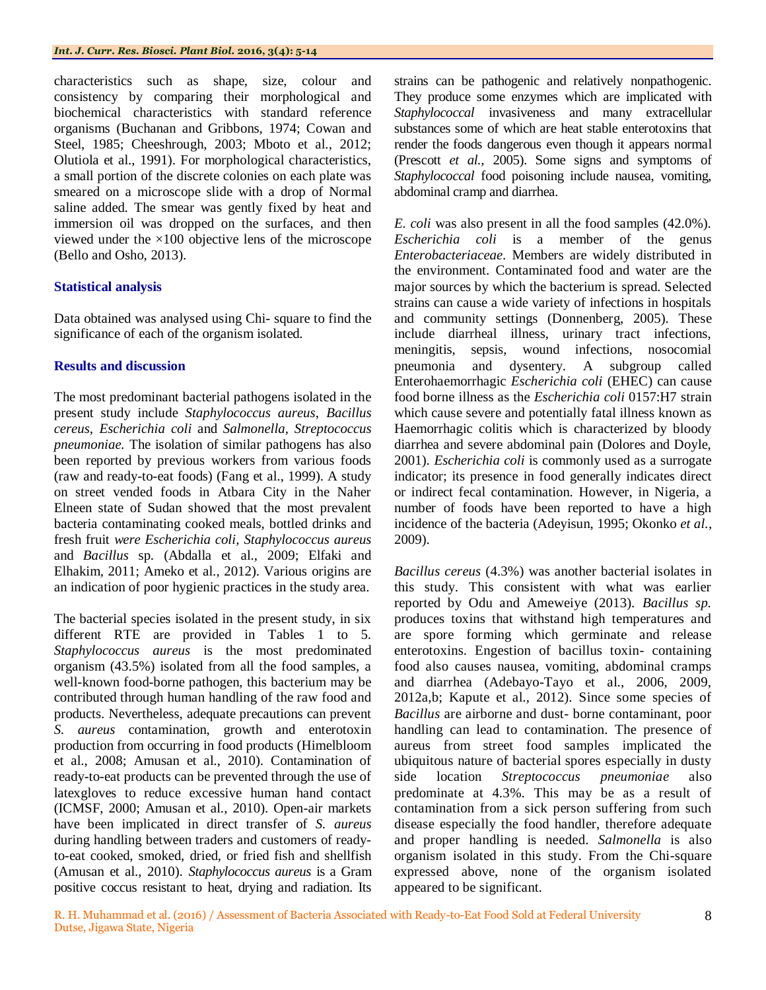characteristics such as shape, size, colour and consistency by comparing their morphological and biochemical characteristics with standard reference organisms (Buchanan and Gribbons, 1974; Cowan and Steel, 1985; Cheeshrough, 2003; Mboto et al., 2012; Olutiola et al., 1991). For morphological characteristics, a small portion of the discrete colonies on each plate was smeared on a microscope slide with a drop of Normal saline added. The smear was gently fixed by heat and immersion oil was dropped on the surfaces, and then viewed under the  $\times 100$  objective lens of the microscope (Bello and Osho, 2013).

## **Statistical analysis**

Data obtained was analysed using Chi- square to find the significance of each of the organism isolated.

### **Results and discussion**

The most predominant bacterial pathogens isolated in the present study include *Staphylococcus aureus*, *Bacillus cereus*, *Escherichia coli* and *Salmonella, Streptococcus pneumoniae.* The isolation of similar pathogens has also been reported by previous workers from various foods (raw and ready-to-eat foods) (Fang et al., 1999). A study on street vended foods in Atbara City in the Naher Elneen state of Sudan showed that the most prevalent bacteria contaminating cooked meals, bottled drinks and fresh fruit *were Escherichia coli, Staphylococcus aureus*  and *Bacillus* sp*.* (Abdalla et al., 2009; Elfaki and Elhakim, 2011; Ameko et al., 2012). Various origins are an indication of poor hygienic practices in the study area.

The bacterial species isolated in the present study, in six different RTE are provided in Tables 1 to 5. *Staphylococcus aureus* is the most predominated organism (43.5%) isolated from all the food samples, a well-known food-borne pathogen, this bacterium may be contributed through human handling of the raw food and products. Nevertheless, adequate precautions can prevent *S. aureus* contamination, growth and enterotoxin production from occurring in food products (Himelbloom et al., 2008; Amusan et al., 2010). Contamination of ready-to-eat products can be prevented through the use of latexgloves to reduce excessive human hand contact (ICMSF, 2000; Amusan et al., 2010). Open-air markets have been implicated in direct transfer of *S. aureus*  during handling between traders and customers of readyto-eat cooked, smoked, dried, or fried fish and shellfish (Amusan et al., 2010). *Staphylococcus aureus* is a Gram positive coccus resistant to heat, drying and radiation. Its

strains can be pathogenic and relatively nonpathogenic. They produce some enzymes which are implicated with *Staphylococcal* invasiveness and many extracellular substances some of which are heat stable enterotoxins that render the foods dangerous even though it appears normal (Prescott *et al.,* 2005). Some signs and symptoms of *Staphylococcal* food poisoning include nausea, vomiting, abdominal cramp and diarrhea.

*E. coli* was also present in all the food samples (42.0%). *Escherichia coli* is a member of the genus *Enterobacteriaceae*. Members are widely distributed in the environment. Contaminated food and water are the major sources by which the bacterium is spread. Selected strains can cause a wide variety of infections in hospitals and community settings (Donnenberg, 2005). These include diarrheal illness, urinary tract infections, meningitis, sepsis, wound infections, nosocomial pneumonia and dysentery. A subgroup called Enterohaemorrhagic *Escherichia coli* (EHEC) can cause food borne illness as the *Escherichia coli* 0157:H7 strain which cause severe and potentially fatal illness known as Haemorrhagic colitis which is characterized by bloody diarrhea and severe abdominal pain (Dolores and Doyle, 2001). *Escherichia coli* is commonly used as a surrogate indicator; its presence in food generally indicates direct or indirect fecal contamination. However, in Nigeria, a number of foods have been reported to have a high incidence of the bacteria (Adeyisun, 1995; Okonko *et al.,*  2009).

*Bacillus cereus* (4.3%) was another bacterial isolates in this study. This consistent with what was earlier reported by Odu and Ameweiye (2013). *Bacillus sp.*  produces toxins that withstand high temperatures and are spore forming which germinate and release enterotoxins. Engestion of bacillus toxin- containing food also causes nausea, vomiting, abdominal cramps and diarrhea (Adebayo-Tayo et al., 2006, 2009, 2012a,b; Kapute et al., 2012). Since some species of *Bacillus* are airborne and dust- borne contaminant, poor handling can lead to contamination. The presence of aureus from street food samples implicated the ubiquitous nature of bacterial spores especially in dusty side location *Streptococcus pneumoniae* also predominate at 4.3%. This may be as a result of contamination from a sick person suffering from such disease especially the food handler, therefore adequate and proper handling is needed. *Salmonella* is also organism isolated in this study. From the Chi-square expressed above, none of the organism isolated appeared to be significant.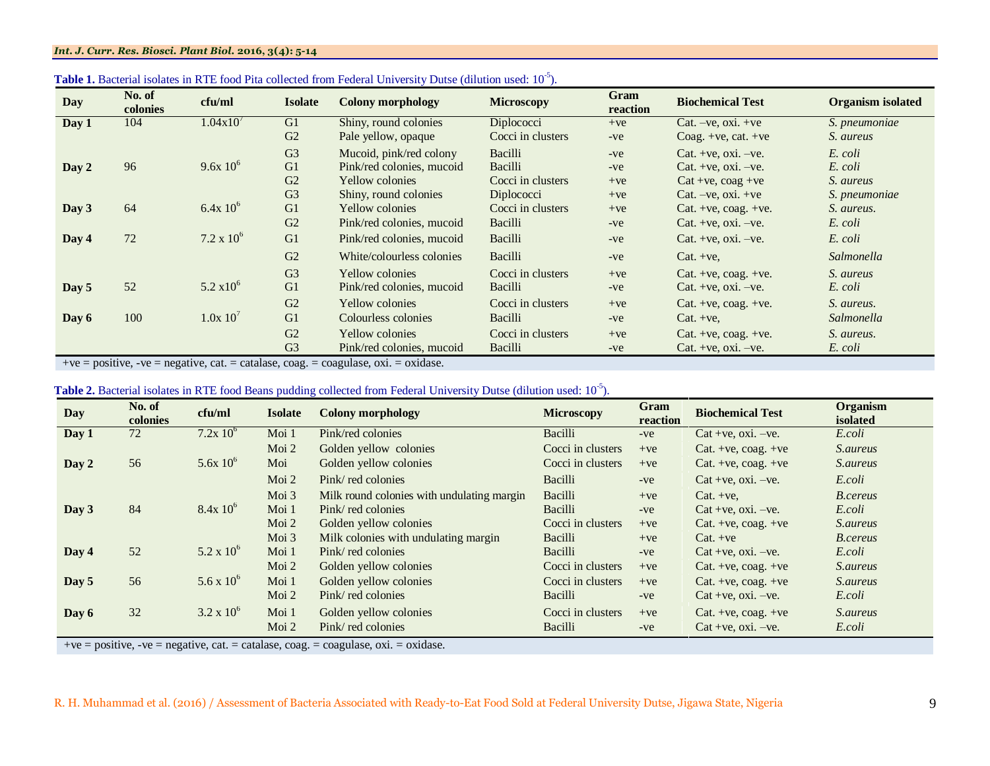| Day   | No. of<br>colonies | cfu/ml            | <b>Isolate</b> | <b>Colony morphology</b>  | <b>Microscopy</b> | Gram<br>reaction | <b>Biochemical Test</b>     | <b>Organism isolated</b> |
|-------|--------------------|-------------------|----------------|---------------------------|-------------------|------------------|-----------------------------|--------------------------|
| Day 1 | 104                | 1.04x10'          | G1             | Shiny, round colonies     | Diplococci        | $+ve$            | Cat. $-ve$ , oxi. $+ve$     | S. pneumoniae            |
|       |                    |                   | G2             | Pale yellow, opaque       | Cocci in clusters | $-ve$            | Coag. +ve, cat. +ve         | S. aureus                |
|       |                    |                   | G <sub>3</sub> | Mucoid, pink/red colony   | Bacilli           | $-ve$            | Cat. + $ve$ , oxi. - $ve$ . | E. coli                  |
| Day 2 | 96                 | $9.6x10^{6}$      | G1             | Pink/red colonies, mucoid | Bacilli           | $-ve$            | Cat. + $ve$ , oxi. - $ve$ . | E. coli                  |
|       |                    |                   | G2             | <b>Yellow colonies</b>    | Cocci in clusters | $+ve$            | $Cat +ve, coag +ve$         | S. aureus                |
|       |                    |                   | G <sub>3</sub> | Shiny, round colonies     | Diplococci        | $+ve$            | Cat. $-ve$ , $oxi$ . $+ve$  | S. pneumoniae            |
| Day 3 | 64                 | $6.4x10^{6}$      | G1             | <b>Yellow colonies</b>    | Cocci in clusters | $+ve$            | $Cat. +ve, coag. +ve.$      | S. aureus.               |
|       |                    |                   | G <sub>2</sub> | Pink/red colonies, mucoid | Bacilli           | $-ve$            | Cat. +ve, $oxi. -ve.$       | E. coli                  |
| Day 4 | 72                 | $7.2 \times 10^6$ | G1             | Pink/red colonies, mucoid | Bacilli           | $-ve$            | Cat. +ve. $oxi. -ve.$       | E. coli                  |
|       |                    |                   | G2             | White/colourless colonies | Bacilli           | $-ve$            | $Cat. +ve.$                 | Salmonella               |
|       |                    |                   | G <sub>3</sub> | <b>Yellow colonies</b>    | Cocci in clusters | $+ve$            | $Cat. +ve, coag. +ve.$      | S. aureus                |
| Day 5 | 52                 | $5.2 \times 10^6$ | G1             | Pink/red colonies, mucoid | Bacilli           | $-ve$            | Cat. +ve. $oxi. -ve.$       | E. coli                  |
|       |                    |                   | G <sub>2</sub> | <b>Yellow colonies</b>    | Cocci in clusters | $+ve$            | $Cat. +ve, coag. +ve.$      | S. aureus.               |
| Day 6 | 100                | $1.0x\ 10'$       | G1             | Colourless colonies       | Bacilli           | $-ve$            | $Cat. +ve.$                 | Salmonella               |
|       |                    |                   | G <sub>2</sub> | <b>Yellow colonies</b>    | Cocci in clusters | $+ve$            | $Cat. +ve, coag. +ve.$      | S. aureus.               |
|       |                    |                   | G <sub>3</sub> | Pink/red colonies, mucoid | Bacilli           | $-ve$            | Cat. +ve. $oxi. -ve.$       | E. coli                  |

| <b>Table 1.</b> Bacterial isolates in RTE food Pita collected from Federal University Dutse (dilution used: $10^{-5}$ ). |
|--------------------------------------------------------------------------------------------------------------------------|
|--------------------------------------------------------------------------------------------------------------------------|

+ve = positive, -ve = negative, cat. = catalase, coag. = coagulase, oxi. = oxidase.

| <b>Table 2.</b> Bacterial isolates in RTE food Beans pudding collected from Federal University Dutse (dilution used: $10^{-5}$ ). |  |
|-----------------------------------------------------------------------------------------------------------------------------------|--|
|                                                                                                                                   |  |

| <b>Day</b> | No. of<br>colonies | cfu/ml              | <b>Isolate</b> | <b>Colony morphology</b>                                                            | <b>Microscopy</b> | Gram<br>reaction | <b>Biochemical Test</b>    | <b>Organism</b><br>isolated |
|------------|--------------------|---------------------|----------------|-------------------------------------------------------------------------------------|-------------------|------------------|----------------------------|-----------------------------|
| Day 1      | 72                 | $7.2x\ 10^6$        | Moi 1          | Pink/red colonies                                                                   | Bacilli           | $-ve$            | $Cat +ve, oxi. -ve.$       | E.coli                      |
|            |                    |                     | Moi 2          | Golden yellow colonies                                                              | Cocci in clusters | $+ve$            | $Cat. +ve, coag. +ve$      | <i>S.aureus</i>             |
| Day 2      | 56                 | 5.6x $10^6$         | Moi            | Golden yellow colonies                                                              | Cocci in clusters | $+ve$            | $Cat. +ve, coag. +ve$      | <i>S.aureus</i>             |
|            |                    |                     | Moi 2          | Pink/red colonies                                                                   | Bacilli           | $-ve$            | $Cat +ve, oxi. -ve.$       | E.coli                      |
|            |                    |                     | Moi $3$        | Milk round colonies with undulating margin                                          | Bacilli           | $+ve$            | $Cat. +ve.$                | <b>B.cereus</b>             |
| Day 3      | 84                 | $8.4x\ 10^{6}$      | Moi 1          | Pink/red colonies                                                                   | Bacilli           | $-ve$            | $Cat +ve, oxi. -ve.$       | E.coli                      |
|            |                    |                     | Moi 2          | Golden yellow colonies                                                              | Cocci in clusters | $+ve$            | Cat. +ve, coag. +ve        | <i>S.aureus</i>             |
|            |                    |                     | Moi 3          | Milk colonies with undulating margin                                                | Bacilli           | $+ve$            | $Cat. +ve$                 | B.cereus                    |
| Day 4      | 52                 | $5.2 \times 10^6$   | Moi 1          | Pink/red colonies                                                                   | Bacilli           | $-ve$            | $Cat +ve, oxi. -ve.$       | E.coli                      |
|            |                    |                     | Moi 2          | Golden yellow colonies                                                              | Cocci in clusters | $+ve$            | Cat. + $ve$ , coag. + $ve$ | <i>S.aureus</i>             |
| Day 5      | 56                 | $5.6 \times 10^{6}$ | Moi 1          | Golden yellow colonies                                                              | Cocci in clusters | $+ve$            | $Cat. +ve, coag. +ve$      | <i>S.aureus</i>             |
|            |                    |                     | Moi 2          | Pink/red colonies                                                                   | Bacilli           | $-ve$            | $Cat +ve, oxi. -ve.$       | E.coli                      |
| Day 6      | 32                 | $3.2 \times 10^6$   | Moi 1          | Golden yellow colonies                                                              | Cocci in clusters | $+ve$            | $Cat. +ve, coag. +ve$      | <i>S.aureus</i>             |
|            |                    |                     | Moi $2$        | Pink/red colonies                                                                   | Bacilli           | $-ve$            | $Cat +ve, oxi. -ve.$       | E.coli                      |
|            |                    |                     |                | +ve = positive, -ve = negative, cat. = catalase, coag. = coagulase, oxi. = oxidase. |                   |                  |                            |                             |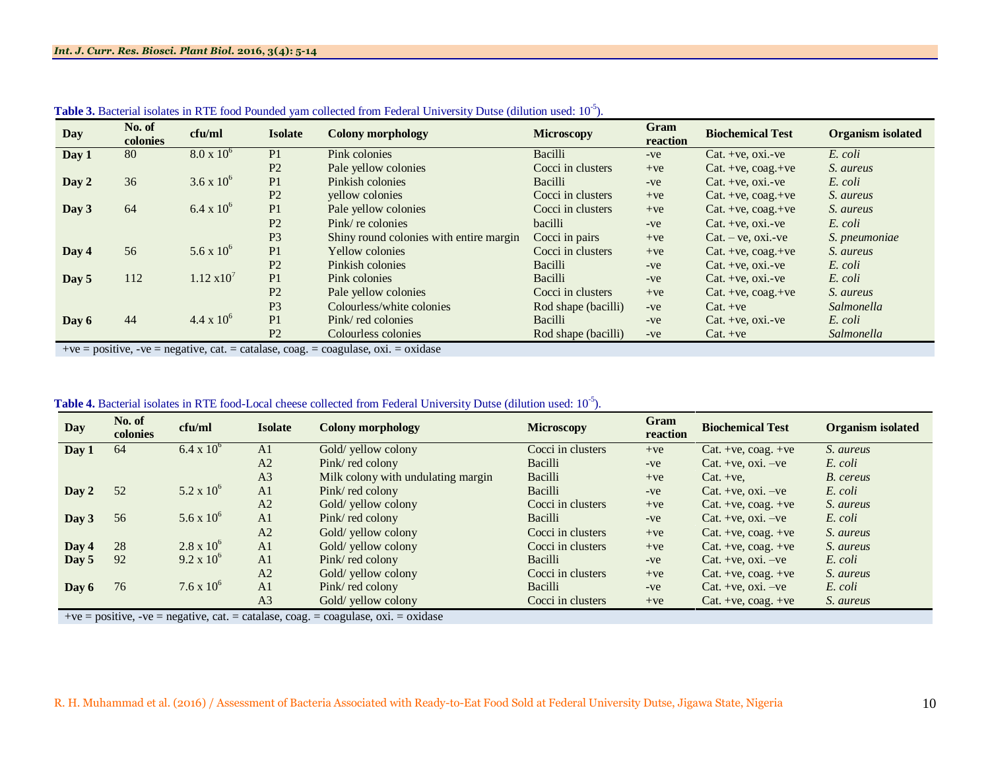| <b>Day</b> | No. of<br>colonies | cfu/ml              | <b>Isolate</b> | <b>Colony morphology</b>                                                                            | <b>Microscopy</b>   | Gram<br>reaction | <b>Biochemical Test</b> | <b>Organism</b> isolated |
|------------|--------------------|---------------------|----------------|-----------------------------------------------------------------------------------------------------|---------------------|------------------|-------------------------|--------------------------|
| Day 1      | 80                 | $8.0 \times 10^{6}$ | P <sub>1</sub> | Pink colonies                                                                                       | Bacilli             | $-ve$            | $Cat. +ve. oxi.-ve$     | E. coli                  |
|            |                    |                     | P <sub>2</sub> | Pale yellow colonies                                                                                | Cocci in clusters   | $+ve$            | $Cat. +ve. coag. +ve$   | S. aureus                |
| Day 2      | 36                 | $3.6 \times 10^{6}$ | P <sub>1</sub> | Pinkish colonies                                                                                    | Bacilli             | $-ve$            | $Cat. +ve. oxi.-ve$     | E. coli                  |
|            |                    |                     | P <sub>2</sub> | vellow colonies                                                                                     | Cocci in clusters   | $+ve$            | $Cat. +ve, coag.+ve$    | S. aureus                |
| Day 3      | 64                 | $6.4 \times 10^6$   | P <sub>1</sub> | Pale yellow colonies                                                                                | Cocci in clusters   | $+ve$            | $Cat. +ve, coag.+ve$    | S. aureus                |
|            |                    |                     | P <sub>2</sub> | Pink/re colonies                                                                                    | bacilli             | $-ve$            | $Cat. +ve. oxi.-ve$     | E. coli                  |
|            |                    |                     | P <sub>3</sub> | Shiny round colonies with entire margin                                                             | Cocci in pairs      | $+ve$            | $Cat. - ve. oxi.-ve$    | S. pneumoniae            |
| Day 4      | 56                 | 5.6 x $10^6$        | P <sub>1</sub> | <b>Yellow colonies</b>                                                                              | Cocci in clusters   | $+ve$            | $Cat. +ve, coag. +ve$   | S. aureus                |
|            |                    |                     | P <sub>2</sub> | Pinkish colonies                                                                                    | Bacilli             | $-ve$            | $Cat. +ve. oxi.-ve$     | E. coli                  |
| Day 5      | 112                | $1.12 \times 10'$   | P <sub>1</sub> | Pink colonies                                                                                       | Bacilli             | $-ve$            | $Cat. +ve. oxi.-ve$     | E. coli                  |
|            |                    |                     | P <sub>2</sub> | Pale yellow colonies                                                                                | Cocci in clusters   | $+ve$            | $Cat. +ve, coag. +ve$   | S. aureus                |
|            |                    |                     | P <sub>3</sub> | Colourless/white colonies                                                                           | Rod shape (bacilli) | $-ve$            | $Cat. +ve$              | Salmonella               |
| Day 6      | 44                 | $4.4 \times 10^6$   | P <sub>1</sub> | Pink/red colonies                                                                                   | Bacilli             | $-ve$            | $Cat. +ve. oxi.-ve$     | E. coli                  |
|            |                    |                     | P <sub>2</sub> | Colourless colonies                                                                                 | Rod shape (bacilli) | $-ve$            | $Cat. +ve$              | Salmonella               |
|            |                    |                     |                | $\mu_{\alpha}$ = nogitive $\mu_{\alpha}$ = nogetive est = estelece essex = essexulace exi = exidese |                     |                  |                         |                          |

Table 3. Bacterial isolates in RTE food Pounded yam collected from Federal University Dutse (dilution used: 10<sup>-5</sup>).

 $+ve =$  positive,  $-ve =$  negative, cat.  $=$  catalase, coag.  $=$  coagulase, oxi.  $=$  oxidase

## Table 4. Bacterial isolates in RTE food-Local cheese collected from Federal University Dutse (dilution used: 10<sup>-5</sup>).

| <b>Day</b> | No. of<br>colonies | cfu/ml              | <b>Isolate</b> | <b>Colony morphology</b>           | <b>Microscopy</b> | Gram<br>reaction | <b>Biochemical Test</b> | <b>Organism isolated</b> |
|------------|--------------------|---------------------|----------------|------------------------------------|-------------------|------------------|-------------------------|--------------------------|
| Day 1      | 64                 | $6.4 \times 10^{6}$ | A <sub>1</sub> | Gold/ yellow colony                | Cocci in clusters | $+ve$            | Cat. +ve, coag. +ve     | S. aureus                |
|            |                    |                     | A <sub>2</sub> | Pink/red colony                    | Bacilli           | $-ve$            | Cat. +ve, $oxi$ . -ve   | E. coli                  |
|            |                    |                     | A <sub>3</sub> | Milk colony with undulating margin | Bacilli           | $+ve$            | $Cat. +ve.$             | B. cereus                |
| Day 2      | 52                 | 5.2 x $10^6$        | A <sub>1</sub> | Pink/red colony                    | Bacilli           | $-ve$            | Cat. +ve, $oxi$ . -ve   | E. coli                  |
|            |                    |                     | A2             | Gold/ yellow colony                | Cocci in clusters | $+ve$            | Cat. +ve, coag. +ve     | S. aureus                |
| Day 3      | 56                 | $5.6 \times 10^{6}$ | A <sub>1</sub> | Pink/red colony                    | Bacilli           | $-ve$            | Cat. +ve, $oxi$ . -ve   | E. coli                  |
|            |                    |                     | A2             | Gold/ yellow colony                | Cocci in clusters | $+ve$            | Cat. +ve, $coag. +ve$   | S. aureus                |
| Day 4      | 28                 | $2.8 \times 10^6$   | A <sub>1</sub> | Gold/ yellow colony                | Cocci in clusters | $+ve$            | Cat. +ve, coag. +ve     | S. aureus                |
| Day 5      | 92                 | $9.2 \times 10^6$   | A <sub>1</sub> | Pink/red colony                    | Bacilli           | $-ve$            | Cat. +ve, $oxi$ . -ve   | E. coli                  |
|            |                    |                     | A <sub>2</sub> | Gold/ yellow colony                | Cocci in clusters | $+ve$            | Cat. +ve, $coag. +ve$   | S. aureus                |
| Day 6      | 76                 | $7.6 \times 10^6$   | A <sub>1</sub> | Pink/red colony                    | Bacilli           | $-ve$            | Cat. +ve, $oxi$ . -ve   | E. coli                  |
|            |                    |                     | A <sub>3</sub> | Gold/ yellow colony                | Cocci in clusters | $+ve$            | Cat. +ve, coag. +ve     | S. aureus                |
|            |                    |                     |                | $150 - 0.001$                      |                   |                  |                         |                          |

 $+ve =$  positive,  $-ve =$  negative, cat.  $=$  catalase, coag.  $=$  coagulase, oxi.  $=$  oxidase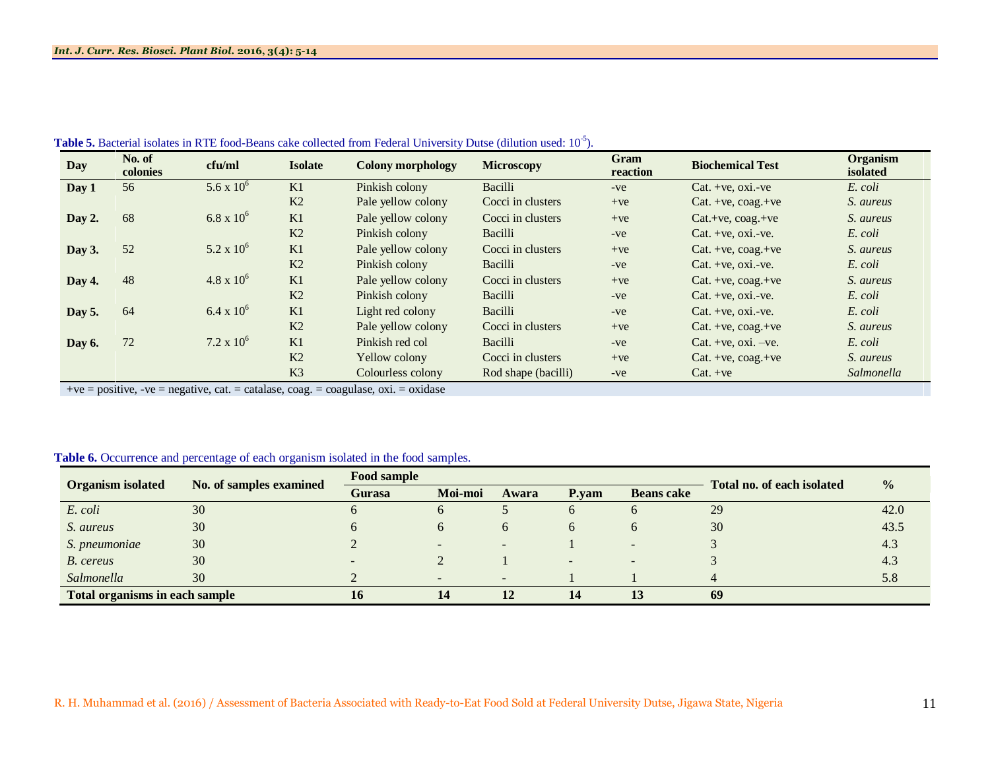| <b>Day</b> | No. of<br>colonies | cfu/ml              | <b>Isolate</b> | <b>Colony morphology</b> | <b>Microscopy</b>   | Gram<br>reaction | <b>Biochemical Test</b> | <b>Organism</b><br>isolated |
|------------|--------------------|---------------------|----------------|--------------------------|---------------------|------------------|-------------------------|-----------------------------|
| Day 1      | 56                 | 5.6 x $10^6$        | K1             | Pinkish colony           | Bacilli             | $-ve$            | $Cat. +ve. oxi.-ve$     | E. coli                     |
|            |                    |                     | K2             | Pale yellow colony       | Cocci in clusters   | $+ve$            | $Cat. +ve, coag. +ve$   | S. aureus                   |
| Day 2.     | 68                 | $6.8 \times 10^{6}$ | K1             | Pale yellow colony       | Cocci in clusters   | $+ve$            | $Cat.+ve, coag.+ve$     | S. aureus                   |
|            |                    |                     | K <sub>2</sub> | Pinkish colony           | Bacilli             | $-ve$            | $Cat. +ve.$ oxi.-ve.    | E. coli                     |
| Day 3.     | 52                 | 5.2 x $10^6$        | K1             | Pale yellow colony       | Cocci in clusters   | $+ve$            | $Cat. +ve, coag.+ve$    | S. aureus                   |
|            |                    |                     | K2             | Pinkish colony           | Bacilli             | $-ve$            | $Cat. +ve.$ oxi.-ve.    | E. coli                     |
| Day 4.     | 48                 | $4.8 \times 10^6$   | K1             | Pale yellow colony       | Cocci in clusters   | $+ve$            | $Cat. +ve, coag.+ve$    | S. aureus                   |
|            |                    |                     | K <sub>2</sub> | Pinkish colony           | Bacilli             | $-ve$            | $Cat. +ve.$ oxi.-ve.    | E. coli                     |
| Day 5.     | 64                 | $6.4 \times 10^{6}$ | K1             | Light red colony         | Bacilli             | $-ve$            | $Cat. +ve. oxi.-ve.$    | E. coli                     |
|            |                    |                     | K <sub>2</sub> | Pale yellow colony       | Cocci in clusters   | $+ve$            | $Cat. +ve, coag.+ve$    | S. aureus                   |
| Day 6.     | 72                 | $7.2 \times 10^6$   | K1             | Pinkish red col          | Bacilli             | $-ve$            | Cat. +ve. $oxi. -ve.$   | E. coli                     |
|            |                    |                     | K <sub>2</sub> | Yellow colony            | Cocci in clusters   | $+ve$            | $Cat. +ve, coag.+ve$    | S. aureus                   |
|            |                    |                     | K <sub>3</sub> | Colourless colony        | Rod shape (bacilli) | $-ve$            | $Cat. +ve$              | Salmonella                  |

Table 5. Bacterial isolates in RTE food-Beans cake collected from Federal University Dutse (dilution used: 10<sup>-5</sup>).

 $+ve =$  positive,  $-ve =$  negative, cat.  $=$  catalase, coag.  $=$  coagulase, oxi.  $=$  oxidase

# Table 6. Occurrence and percentage of each organism isolated in the food samples.

| <b>Organism isolated</b>              | No. of samples examined | <b>Food sample</b> |                          |                          | Total no. of each isolated | $\frac{0}{0}$            |    |      |
|---------------------------------------|-------------------------|--------------------|--------------------------|--------------------------|----------------------------|--------------------------|----|------|
|                                       |                         | <b>Gurasa</b>      | Moi-moi                  |                          | P.vam                      | <b>Beans cake</b>        |    |      |
| E. coli                               | 30                      |                    | <sub>0</sub>             |                          | b                          | <sub>0</sub>             | 29 | 42.0 |
| S. aureus                             | 30                      |                    | 6                        | $\sigma$                 |                            |                          | 30 | 43.5 |
| S. pneumoniae                         | 30                      |                    |                          | $\overline{\phantom{0}}$ |                            | $\overline{\phantom{0}}$ |    | 4.3  |
| B. cereus                             | 30                      |                    |                          |                          |                            | $\overline{\phantom{0}}$ |    | 4.3  |
| Salmonella                            | 30                      |                    | $\overline{\phantom{a}}$ |                          |                            |                          |    | 5.8  |
| <b>Total organisms in each sample</b> |                         | 16                 | 14                       | 12                       | 14                         |                          | 69 |      |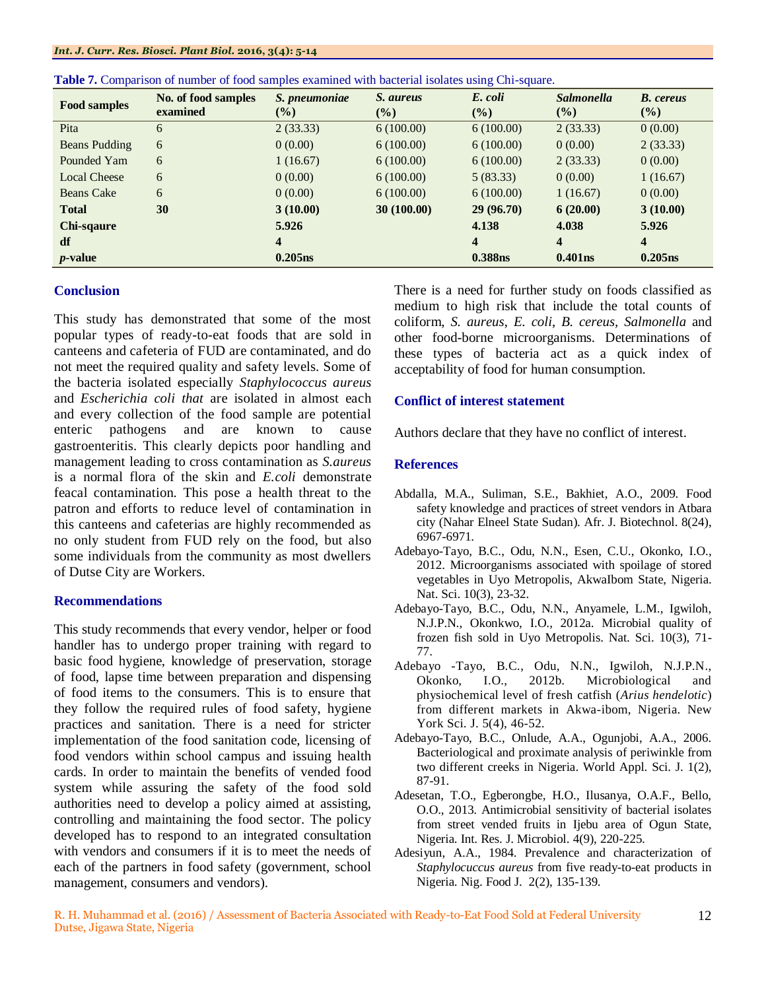#### *Int. J. Curr. Res. Biosci. Plant Biol.* **2016, 3(4): 5-14**

| $\mathbf{r}$<br><b>Food samples</b> | No. of food samples<br>examined | $\mathbf{r}$<br>S. pneumoniae<br>$(\%)$ | S. aureus<br>$(\%)$ | ັ<br>E. coli<br>(%)     | <b>Salmonella</b><br>$(\%)$ | <b>B.</b> cereus<br>(%) |
|-------------------------------------|---------------------------------|-----------------------------------------|---------------------|-------------------------|-----------------------------|-------------------------|
| Pita                                | 6                               | 2(33.33)                                | 6(100.00)           | 6(100.00)               | 2(33.33)                    | 0(0.00)                 |
| Beans Pudding                       | 6                               | 0(0.00)                                 | 6(100.00)           | 6(100.00)               | 0(0.00)                     | 2(33.33)                |
| Pounded Yam                         | 6                               | 1(16.67)                                | 6(100.00)           | 6(100.00)               | 2(33.33)                    | 0(0.00)                 |
| Local Cheese                        | 6                               | 0(0.00)                                 | 6(100.00)           | 5(83.33)                | 0(0.00)                     | 1(16.67)                |
| <b>Beans Cake</b>                   | 6                               | 0(0.00)                                 | 6(100.00)           | 6(100.00)               | 1(16.67)                    | 0(0.00)                 |
| <b>Total</b>                        | 30                              | 3(10.00)                                | 30(100.00)          | 29(96.70)               | 6(20.00)                    | 3(10.00)                |
| <b>Chi-sqaure</b>                   |                                 | 5.926                                   |                     | 4.138                   | 4.038                       | 5.926                   |
| df                                  |                                 | 4                                       |                     | $\overline{\mathbf{4}}$ | 4                           | $\overline{\mathbf{4}}$ |
| <i>p</i> -value                     |                                 | $0.205$ ns                              |                     | 0.388ns                 | 0.401 <sub>ns</sub>         | 0.205ns                 |

|  | Table 7. Comparison of number of food samples examined with bacterial isolates using Chi-square. |  |  |  |  |  |  |
|--|--------------------------------------------------------------------------------------------------|--|--|--|--|--|--|
|  |                                                                                                  |  |  |  |  |  |  |

# **Conclusion**

This study has demonstrated that some of the most popular types of ready-to-eat foods that are sold in canteens and cafeteria of FUD are contaminated, and do not meet the required quality and safety levels. Some of the bacteria isolated especially *Staphylococcus aureus*  and *Escherichia coli that* are isolated in almost each and every collection of the food sample are potential enteric pathogens and are known to cause gastroenteritis. This clearly depicts poor handling and management leading to cross contamination as *S.aureus* is a normal flora of the skin and *E.coli* demonstrate feacal contamination. This pose a health threat to the patron and efforts to reduce level of contamination in this canteens and cafeterias are highly recommended as no only student from FUD rely on the food, but also some individuals from the community as most dwellers of Dutse City are Workers.

# **Recommendations**

This study recommends that every vendor, helper or food handler has to undergo proper training with regard to basic food hygiene, knowledge of preservation, storage of food, lapse time between preparation and dispensing of food items to the consumers. This is to ensure that they follow the required rules of food safety, hygiene practices and sanitation. There is a need for stricter implementation of the food sanitation code, licensing of food vendors within school campus and issuing health cards. In order to maintain the benefits of vended food system while assuring the safety of the food sold authorities need to develop a policy aimed at assisting, controlling and maintaining the food sector. The policy developed has to respond to an integrated consultation with vendors and consumers if it is to meet the needs of each of the partners in food safety (government, school management, consumers and vendors).

There is a need for further study on foods classified as medium to high risk that include the total counts of coliform, *S. aureus*, *E. coli*, *B. cereus, Salmonella* and other food-borne microorganisms. Determinations of these types of bacteria act as a quick index of acceptability of food for human consumption.

#### **Conflict of interest statement**

Authors declare that they have no conflict of interest.

#### **References**

- Abdalla, M.A., Suliman, S.E., Bakhiet, A.O., 2009. Food safety knowledge and practices of street vendors in Atbara city (Nahar Elneel State Sudan). Afr. J. Biotechnol. 8(24), 6967-6971.
- Adebayo-Tayo, B.C., Odu, N.N., Esen, C.U., Okonko, I.O., 2012. Microorganisms associated with spoilage of stored vegetables in Uyo Metropolis, AkwaIbom State, Nigeria. Nat. Sci. 10(3), 23-32.
- Adebayo-Tayo, B.C., Odu, N.N., Anyamele, L.M., Igwiloh, N.J.P.N., Okonkwo, I.O., 2012a. Microbial quality of frozen fish sold in Uyo Metropolis. Nat. Sci. 10(3), 71- 77.
- Adebayo -Tayo, B.C., Odu, N.N., Igwiloh, N.J.P.N., Okonko, I.O., 2012b. Microbiological and physiochemical level of fresh catfish (*Arius hendelotic*) from different markets in Akwa-ibom, Nigeria. New York Sci. J. 5(4), 46-52.
- Adebayo-Tayo, B.C., Onlude, A.A., Ogunjobi, A.A., 2006. Bacteriological and proximate analysis of periwinkle from two different creeks in Nigeria. World Appl. Sci. J. 1(2), 87-91.
- Adesetan, T.O., Egberongbe, H.O., Ilusanya, O.A.F., Bello, O.O., 2013. Antimicrobial sensitivity of bacterial isolates from street vended fruits in Ijebu area of Ogun State, Nigeria. Int. Res. J. Microbiol. 4(9), 220-225.
- Adesiyun, A.A., 1984. Prevalence and characterization of *Staphylocuccus aureus* from five ready-to-eat products in Nigeria. Nig. Food J. 2(2), 135-139.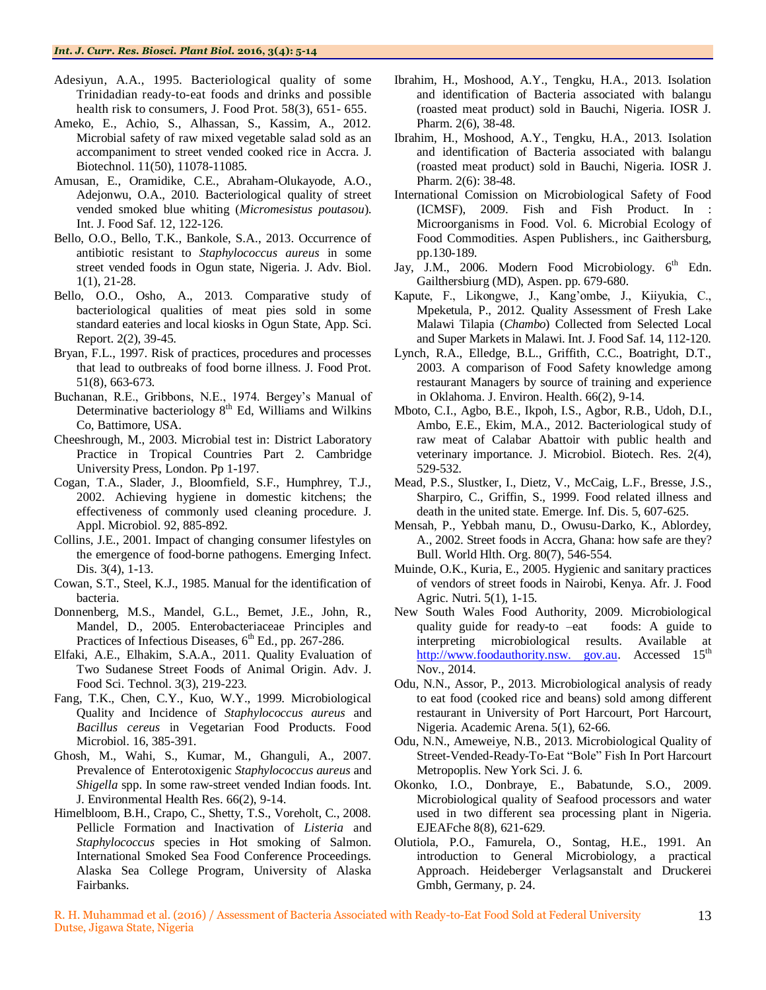- Adesiyun, A.A., 1995. Bacteriological quality of some Trinidadian ready-to-eat foods and drinks and possible health risk to consumers, J. Food Prot. 58(3), 651-655.
- Ameko, E., Achio, S., Alhassan, S., Kassim, A., 2012. Microbial safety of raw mixed vegetable salad sold as an accompaniment to street vended cooked rice in Accra. J. Biotechnol. 11(50), 11078-11085.
- Amusan, E., Oramidike, C.E., Abraham-Olukayode, A.O., Adejonwu, O.A., 2010. Bacteriological quality of street vended smoked blue whiting (*Micromesistus poutasou*). Int. J. Food Saf. 12, 122-126.
- Bello, O.O., Bello, T.K., Bankole, S.A., 2013. Occurrence of antibiotic resistant to *Staphylococcus aureus* in some street vended foods in Ogun state, Nigeria. J. Adv. Biol. 1(1), 21-28.
- Bello, O.O., Osho, A., 2013. Comparative study of bacteriological qualities of meat pies sold in some standard eateries and local kiosks in Ogun State, App. Sci. Report. 2(2), 39-45.
- Bryan, F.L., 1997. Risk of practices, procedures and processes that lead to outbreaks of food borne illness. J. Food Prot. 51(8), 663-673.
- Buchanan, R.E., Gribbons, N.E., 1974. Bergey's Manual of Determinative bacteriology  $8<sup>th</sup>$  Ed, Williams and Wilkins Co, Battimore, USA.
- Cheeshrough, M., 2003. Microbial test in: District Laboratory Practice in Tropical Countries Part 2. Cambridge University Press, London. Pp 1-197.
- Cogan, T.A., Slader, J., Bloomfield, S.F., Humphrey, T.J., 2002. Achieving hygiene in domestic kitchens; the effectiveness of commonly used cleaning procedure. J. Appl. Microbiol. 92, 885-892.
- Collins, J.E., 2001. Impact of changing consumer lifestyles on the emergence of food-borne pathogens. Emerging Infect. Dis. 3(4), 1-13.
- Cowan, S.T., Steel, K.J., 1985. Manual for the identification of bacteria.
- Donnenberg, M.S., Mandel, G.L., Bemet, J.E., John, R., Mandel, D., 2005. Enterobacteriaceae Principles and Practices of Infectious Diseases,  $6<sup>th</sup>$  Ed., pp. 267-286.
- Elfaki, A.E., Elhakim, S.A.A., 2011. Quality Evaluation of Two Sudanese Street Foods of Animal Origin. Adv. J. Food Sci. Technol. 3(3), 219-223.
- Fang, T.K., Chen, C.Y., Kuo, W.Y., 1999. Microbiological Quality and Incidence of *Staphylococcus aureus* and *Bacillus cereus* in Vegetarian Food Products. Food Microbiol. 16, 385-391.
- Ghosh, M., Wahi, S., Kumar, M., Ghanguli, A., 2007. Prevalence of Enterotoxigenic *Staphylococcus aureus* and *Shigella* spp. In some raw-street vended Indian foods. Int. J. Environmental Health Res. 66(2), 9-14.
- Himelbloom, B.H., Crapo, C., Shetty, T.S., Voreholt, C., 2008. Pellicle Formation and Inactivation of *Listeria* and *Staphylococcus* species in Hot smoking of Salmon. International Smoked Sea Food Conference Proceedings. Alaska Sea College Program, University of Alaska Fairbanks.
- Ibrahim, H., Moshood, A.Y., Tengku, H.A., 2013. Isolation and identification of Bacteria associated with balangu (roasted meat product) sold in Bauchi, Nigeria. IOSR J. Pharm. 2(6), 38-48.
- Ibrahim, H., Moshood, A.Y., Tengku, H.A., 2013. Isolation and identification of Bacteria associated with balangu (roasted meat product) sold in Bauchi, Nigeria. IOSR J. Pharm. 2(6): 38-48.
- International Comission on Microbiological Safety of Food (ICMSF), 2009. Fish and Fish Product. In : Microorganisms in Food. Vol. 6. Microbial Ecology of Food Commodities. Aspen Publishers., inc Gaithersburg, pp.130-189.
- Jay, J.M., 2006. Modern Food Microbiology.  $6<sup>th</sup>$  Edn. Gailthersbiurg (MD), Aspen. pp. 679-680.
- Kapute, F., Likongwe, J., Kang'ombe, J., Kiiyukia, C., Mpeketula, P., 2012. Quality Assessment of Fresh Lake Malawi Tilapia (*Chambo*) Collected from Selected Local and Super Markets in Malawi. Int. J. Food Saf. 14, 112-120.
- Lynch, R.A., Elledge, B.L., Griffith, C.C., Boatright, D.T., 2003. A comparison of Food Safety knowledge among restaurant Managers by source of training and experience in Oklahoma. J. Environ. Health. 66(2), 9-14.
- Mboto, C.I., Agbo, B.E., Ikpoh, I.S., Agbor, R.B., Udoh, D.I., Ambo, E.E., Ekim, M.A., 2012. Bacteriological study of raw meat of Calabar Abattoir with public health and veterinary importance. J. Microbiol. Biotech. Res. 2(4), 529-532.
- Mead, P.S., Slustker, I., Dietz, V., McCaig, L.F., Bresse, J.S., Sharpiro, C., Griffin, S., 1999. Food related illness and death in the united state. Emerge. Inf. Dis. 5, 607-625.
- Mensah, P., Yebbah manu, D., Owusu-Darko, K., Ablordey, A., 2002. Street foods in Accra, Ghana: how safe are they? Bull. World Hlth. Org. 80(7), 546-554.
- Muinde, O.K., Kuria, E., 2005. Hygienic and sanitary practices of vendors of street foods in Nairobi, Kenya. Afr. J. Food Agric. Nutri. 5(1), 1-15.
- New South Wales Food Authority, 2009. Microbiological quality guide for ready-to –eat foods: A guide to interpreting microbiological results. Available at http://www.foodauthority.nsw. gov.au. Accessed 15<sup>th</sup> Nov., 2014.
- Odu, N.N., Assor, P., 2013. Microbiological analysis of ready to eat food (cooked rice and beans) sold among different restaurant in University of Port Harcourt, Port Harcourt, Nigeria. Academic Arena. 5(1), 62-66.
- Odu, N.N., Ameweiye, N.B., 2013. Microbiological Quality of Street-Vended-Ready-To-Eat "Bole" Fish In Port Harcourt Metropoplis. New York Sci. J. 6.
- Okonko, I.O., Donbraye, E., Babatunde, S.O., 2009. Microbiological quality of Seafood processors and water used in two different sea processing plant in Nigeria. EJEAFche 8(8), 621-629.
- Olutiola, P.O., Famurela, O., Sontag, H.E., 1991. An introduction to General Microbiology, a practical Approach. Heideberger Verlagsanstalt and Druckerei Gmbh, Germany, p. 24.